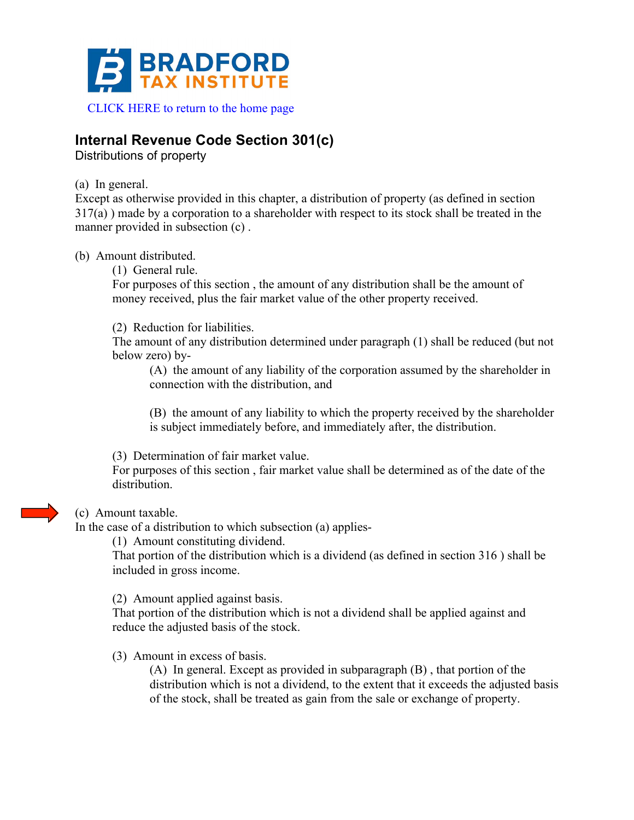

## **Internal Revenue Code Section 301(c)**

Distributions of property

(a) In general.

Except as otherwise provided in this chapter, a distribution of property (as defined in section 317(a) ) made by a corporation to a shareholder with respect to its stock shall be treated in the manner provided in subsection (c) .

(b) Amount distributed.

(1) General rule.

For purposes of this section , the amount of any distribution shall be the amount of money received, plus the fair market value of the other property received.

(2) Reduction for liabilities.

The amount of any distribution determined under paragraph (1) shall be reduced (but not below zero) by-

(A) the amount of any liability of the corporation assumed by the shareholder in connection with the distribution, and

(B) the amount of any liability to which the property received by the shareholder is subject immediately before, and immediately after, the distribution.

(3) Determination of fair market value.

For purposes of this section , fair market value shall be determined as of the date of the distribution.

## (c) Amount taxable.

In the case of a distribution to which subsection (a) applies-

(1) Amount constituting dividend.

That portion of the distribution which is a dividend (as defined in section 316 ) shall be included in gross income.

(2) Amount applied against basis.

That portion of the distribution which is not a dividend shall be applied against and reduce the adjusted basis of the stock.

(3) Amount in excess of basis.

(A) In general. Except as provided in subparagraph (B) , that portion of the distribution which is not a dividend, to the extent that it exceeds the adjusted basis of the stock, shall be treated as gain from the sale or exchange of property.